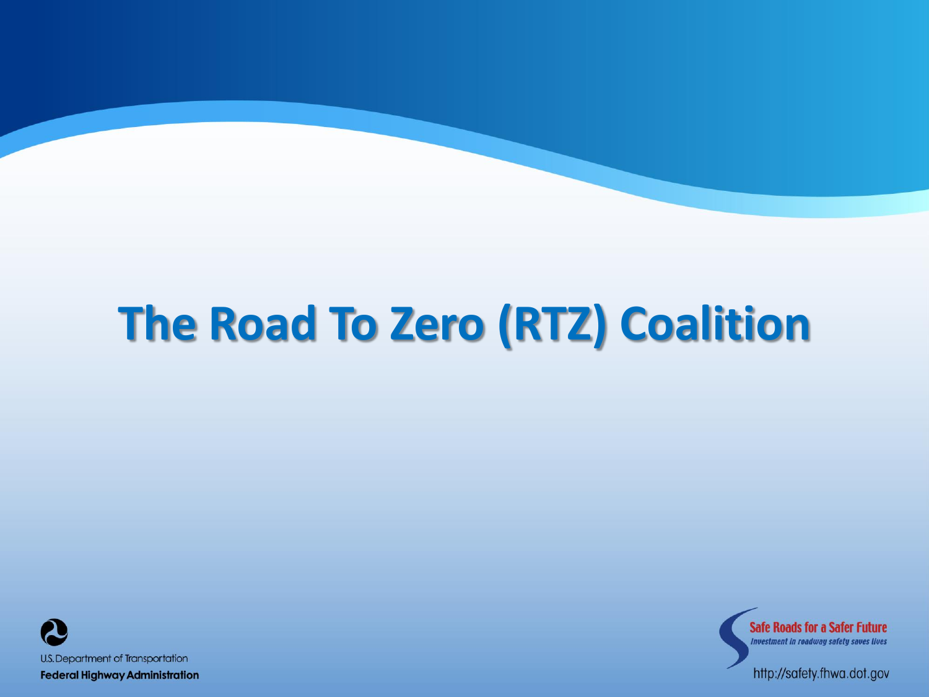### **The Road To Zero (RTZ) Coalition**



**Safe Roads for a Safer Future Investment in roadway safety saves lives** 

http://safety.fhwa.dot.gov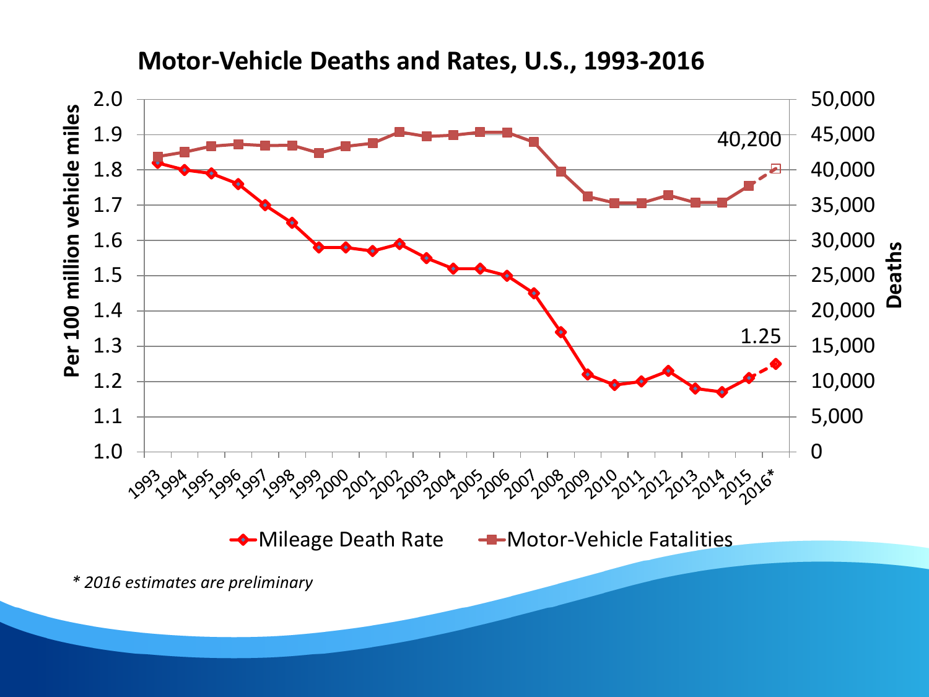

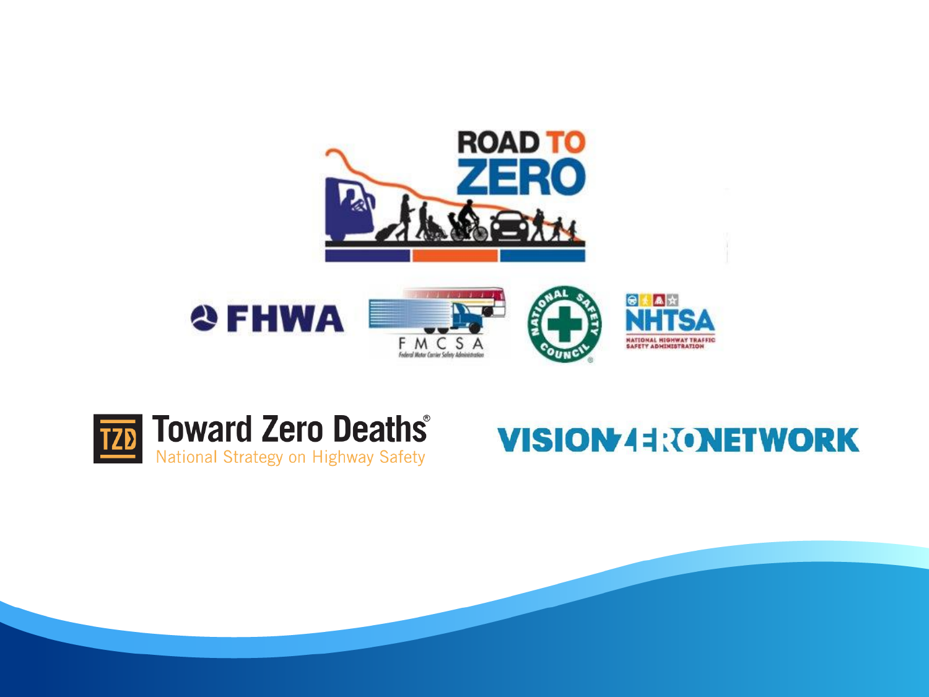









#### **VISION4ERVORK**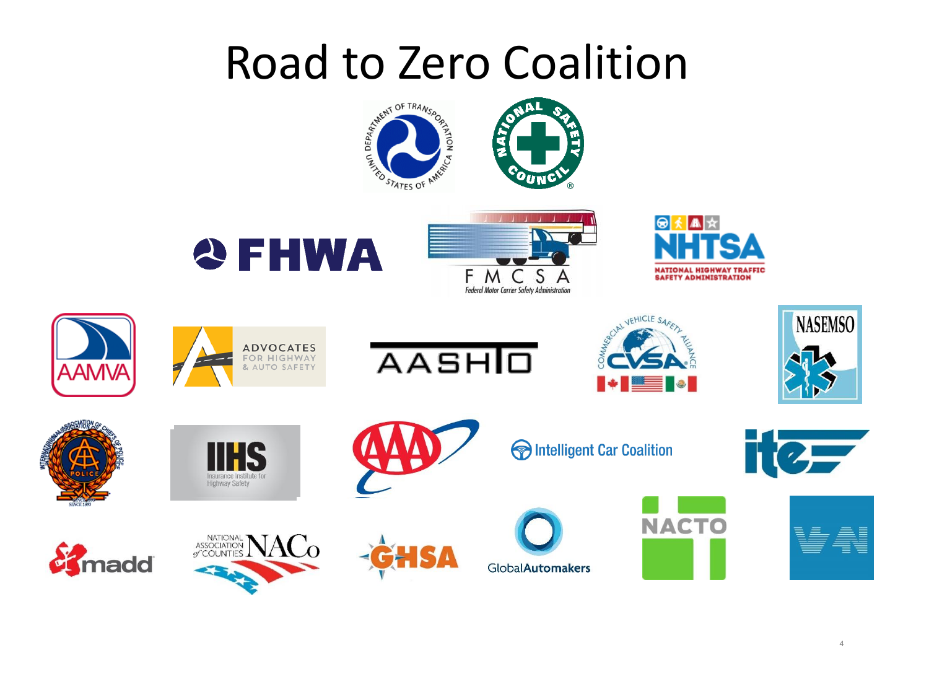### Road to Zero Coalition



























ntelligent Car Coalition















4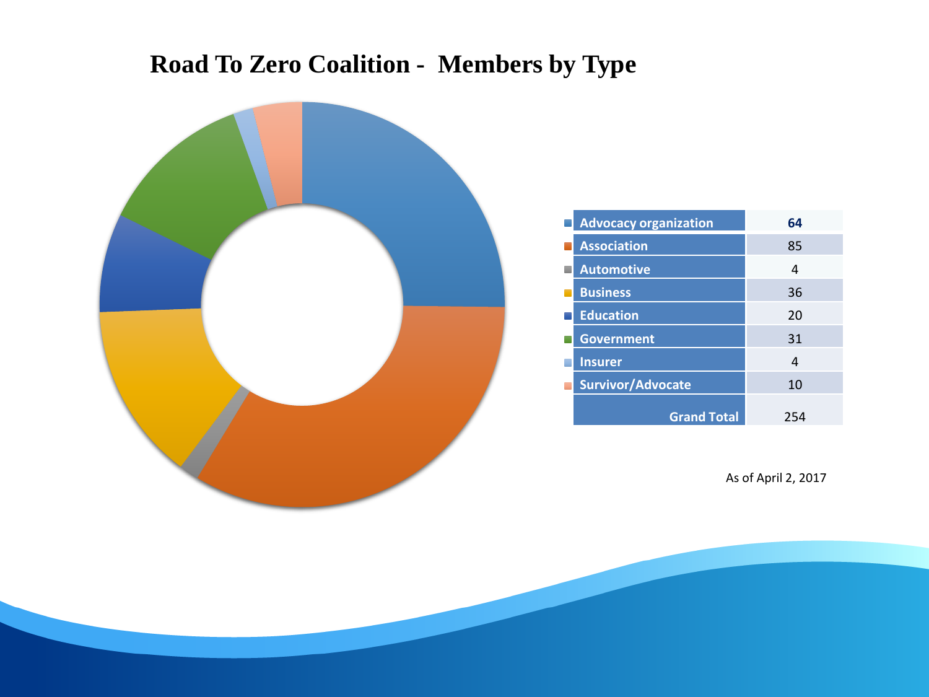#### **Road To Zero Coalition - Members by Type**



| <b>Advocacy organization</b> | 64  |
|------------------------------|-----|
| <b>Association</b>           | 85  |
| <b>Automotive</b>            | 4   |
| <b>Business</b>              | 36  |
| <b>Education</b>             | 20  |
| <b>Government</b>            | 31  |
| <b>Insurer</b>               | 4   |
| <b>Survivor/Advocate</b>     | 10  |
| <b>Grand Total</b>           | 254 |

As of April 2, 2017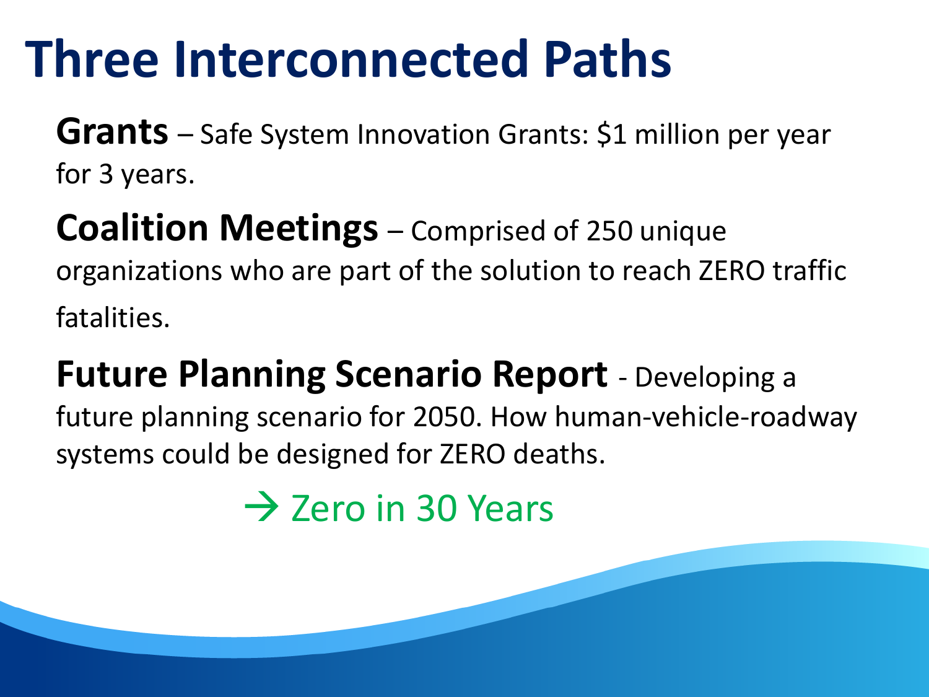## **Three Interconnected Paths**

**Grants** – Safe System Innovation Grants: \$1 million per year for 3 years.

**Coalition Meetings** – Comprised of 250 unique organizations who are part of the solution to reach ZERO traffic fatalities.

**Future Planning Scenario Report** - Developing a future planning scenario for 2050. How human-vehicle-roadway systems could be designed for ZERO deaths.

 $\rightarrow$  Zero in 30 Years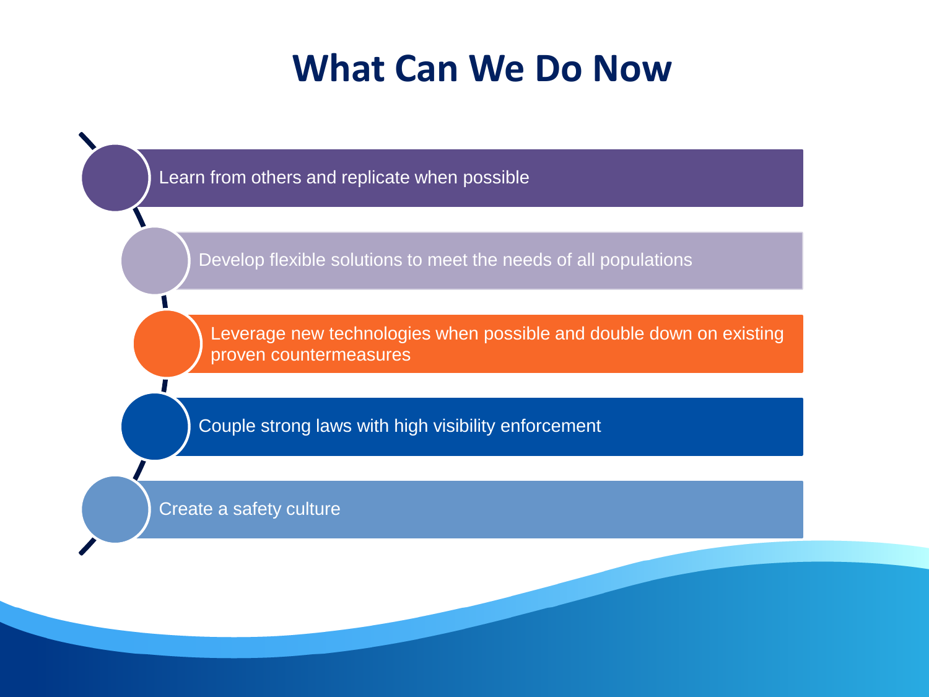#### **What Can We Do Now**

Learn from others and replicate when possible

Develop flexible solutions to meet the needs of all populations

Leverage new technologies when possible and double down on existing proven countermeasures

Couple strong laws with high visibility enforcement

Create a safety culture